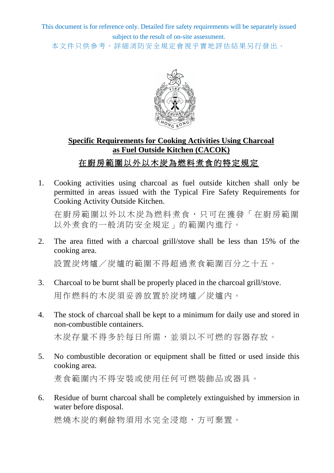This document is for reference only. Detailed fire safety requirements will be separately issued subject to the result of on-site assessment.

本文件只供參考。詳細消防安全規定會視乎實地評估結果另行發出。



## **Specific Requirements for Cooking Activities Using Charcoal as Fuel Outside Kitchen (CACOK)**

## 在廚房範圍以外以木炭為燃料煮食的特定規定

1. Cooking activities using charcoal as fuel outside kitchen shall only be permitted in areas issued with the Typical Fire Safety Requirements for Cooking Activity Outside Kitchen.

在廚房範圍以外以木炭為燃料煮食,只可在獲發「在廚房範圍 以外煮食的一般消防安全規定」的範圍內進行。

2. The area fitted with a charcoal grill/stove shall be less than 15% of the cooking area.

設置炭烤爐/炭爐的範圍不得超過煮食範圍百分之十五。

- 3. Charcoal to be burnt shall be properly placed in the charcoal grill/stove. 用作燃料的木炭須妥善放置於炭烤爐/炭爐內。
- 4. The stock of charcoal shall be kept to a minimum for daily use and stored in non-combustible containers. 木炭存量不得多於每日所需,並須以不可燃的容器存放。
- 5. No combustible decoration or equipment shall be fitted or used inside this cooking area. 煮食範圍內不得安裝或使用任何可燃裝飾品或器具。
- 6. Residue of burnt charcoal shall be completely extinguished by immersion in water before disposal.

燃燒木炭的剩餘物須用水完全浸熄,方可棄置。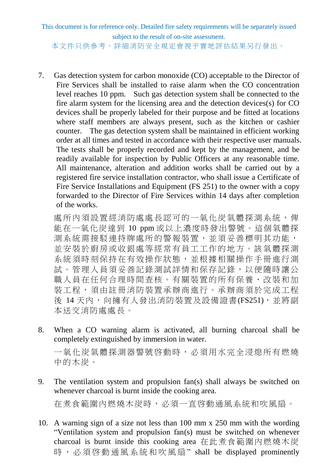This document is for reference only. Detailed fire safety requirements will be separately issued subject to the result of on-site assessment.

本文件只供參考。詳細消防安全規定會視乎實地評估結果另行發出。

7. Gas detection system for carbon monoxide (CO) acceptable to the Director of Fire Services shall be installed to raise alarm when the CO concentration level reaches 10 ppm. Such gas detection system shall be connected to the fire alarm system for the licensing area and the detection devices(s) for CO devices shall be properly labeled for their purpose and be fitted at locations where staff members are always present, such as the kitchen or cashier counter. The gas detection system shall be maintained in efficient working order at all times and tested in accordance with their respective user manuals. The tests shall be properly recorded and kept by the management, and be readily available for inspection by Public Officers at any reasonable time. All maintenance, alteration and addition works shall be carried out by a registered fire service installation contractor, who shall issue a Certificate of Fire Service Installations and Equipment (FS 251) to the owner with a copy forwarded to the Director of Fire Services within 14 days after completion of the works.

處所內須設置經消防處處長認可的一氧化炭氣體探測系統,俾 能在一氧化炭達到 10 ppm 或以上濃度時發出警號。這個氣體探 測系統需接駁連持牌處所的警報裝置,並須妥善標明其功能, 並安裝於廚房或收銀處等經常有員工工作的地方。該氣體探測 系統須時刻保持在有效操作狀態,並根據相關操作手冊進行測 試。管理人員須妥善記錄測試詳情和保存記錄,以便隨時讓公 職人員在任何合理時間查核。有關裝置的所有保養、改裝和加 裝工程,須由註冊消防裝置承辦商進行。承辦商須於完成工程 後 14天內,向擁有人發出消防裝置及設備證書(FS251),並將副 本送交消防處處長。

8. When a CO warning alarm is activated, all burning charcoal shall be completely extinguished by immersion in water.

一氧化炭氣體探測器警號啓動時,必須用水完全浸熄所有燃燒 中的木炭。

9. The ventilation system and propulsion fan(s) shall always be switched on whenever charcoal is burnt inside the cooking area.

在煮食範圍內燃燒木炭時,必須一直啓動通風系統和吹風扇。

10. A warning sign of a size not less than 100 mm x 250 mm with the wording "Ventilation system and propulsion fan(s) must be switched on whenever charcoal is burnt inside this cooking area 在此煮食範圍內燃燒木炭 時 , 必 須 啓 動通風系統和吹風扇 " shall be displayed prominently